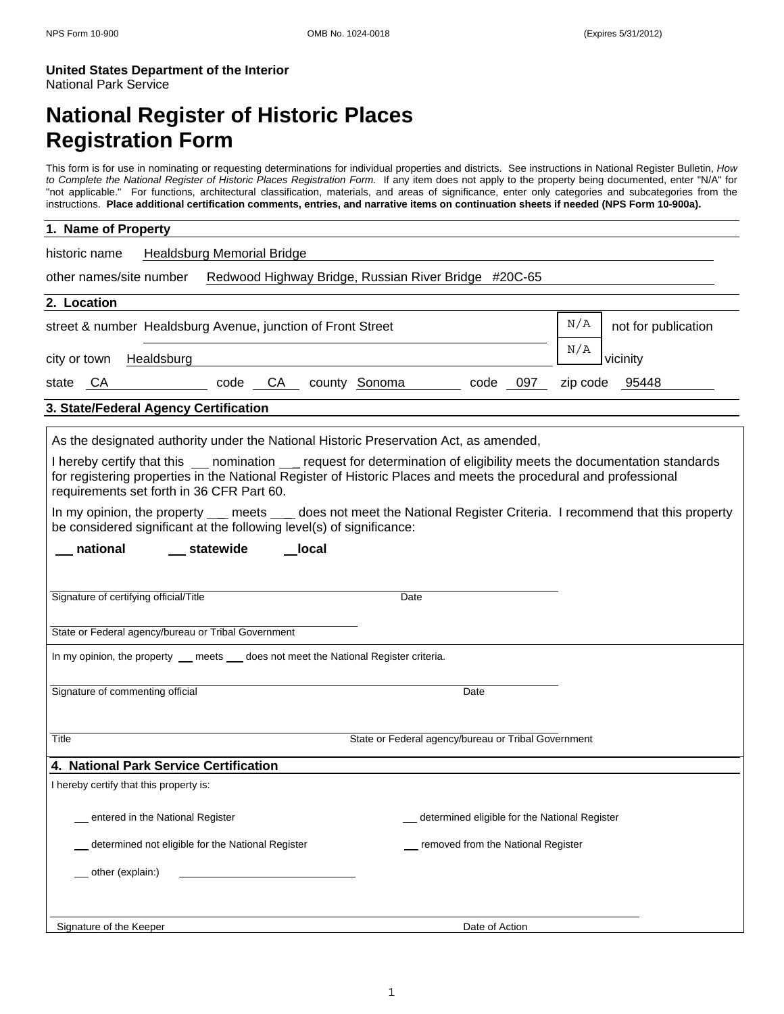# **National Register of Historic Places Registration Form**

This form is for use in nominating or requesting determinations for individual properties and districts. See instructions in National Register Bulletin, *How to Complete the National Register of Historic Places Registration Form.* If any item does not apply to the property being documented, enter "N/A" for "not applicable." For functions, architectural classification, materials, and areas of significance, enter only categories and subcategories from the instructions. **Place additional certification comments, entries, and narrative items on continuation sheets if needed (NPS Form 10-900a).**

| 1. Name of Property                                                                                                                                                                                              |                                                     |                 |  |  |
|------------------------------------------------------------------------------------------------------------------------------------------------------------------------------------------------------------------|-----------------------------------------------------|-----------------|--|--|
| Healdsburg Memorial Bridge<br>historic name                                                                                                                                                                      |                                                     |                 |  |  |
| other names/site number Redwood Highway Bridge, Russian River Bridge #20C-65                                                                                                                                     |                                                     |                 |  |  |
| 2. Location                                                                                                                                                                                                      |                                                     |                 |  |  |
| N/A<br>street & number Healdsburg Avenue, junction of Front Street<br>not for publication                                                                                                                        |                                                     |                 |  |  |
| Healdsburg<br>city or town                                                                                                                                                                                       |                                                     | N/A<br>vicinity |  |  |
| CA county Sonoma<br>state<br>CA<br>code                                                                                                                                                                          | code<br>097                                         | zip code 95448  |  |  |
| 3. State/Federal Agency Certification                                                                                                                                                                            |                                                     |                 |  |  |
| As the designated authority under the National Historic Preservation Act, as amended,<br>I hereby certify that this ___ nomination __ request for determination of eligibility meets the documentation standards |                                                     |                 |  |  |
| for registering properties in the National Register of Historic Places and meets the procedural and professional<br>requirements set forth in 36 CFR Part 60.                                                    |                                                     |                 |  |  |
| In my opinion, the property ___ meets ____ does not meet the National Register Criteria. I recommend that this property<br>be considered significant at the following level(s) of significance:                  |                                                     |                 |  |  |
| national<br>__ statewide<br>local                                                                                                                                                                                |                                                     |                 |  |  |
|                                                                                                                                                                                                                  |                                                     |                 |  |  |
| Signature of certifying official/Title                                                                                                                                                                           | Date                                                |                 |  |  |
| State or Federal agency/bureau or Tribal Government                                                                                                                                                              |                                                     |                 |  |  |
| In my opinion, the property __ meets __ does not meet the National Register criteria.                                                                                                                            |                                                     |                 |  |  |
| Signature of commenting official                                                                                                                                                                                 | Date                                                |                 |  |  |
|                                                                                                                                                                                                                  |                                                     |                 |  |  |
| Title                                                                                                                                                                                                            | State or Federal agency/bureau or Tribal Government |                 |  |  |
| 4. National Park Service Certification                                                                                                                                                                           |                                                     |                 |  |  |
| I hereby certify that this property is:                                                                                                                                                                          |                                                     |                 |  |  |
| entered in the National Register                                                                                                                                                                                 | determined eligible for the National Register       |                 |  |  |
| determined not eligible for the National Register                                                                                                                                                                | removed from the National Register                  |                 |  |  |
| _other (explain:)                                                                                                                                                                                                |                                                     |                 |  |  |
|                                                                                                                                                                                                                  |                                                     |                 |  |  |
| Signature of the Keeper                                                                                                                                                                                          | Date of Action                                      |                 |  |  |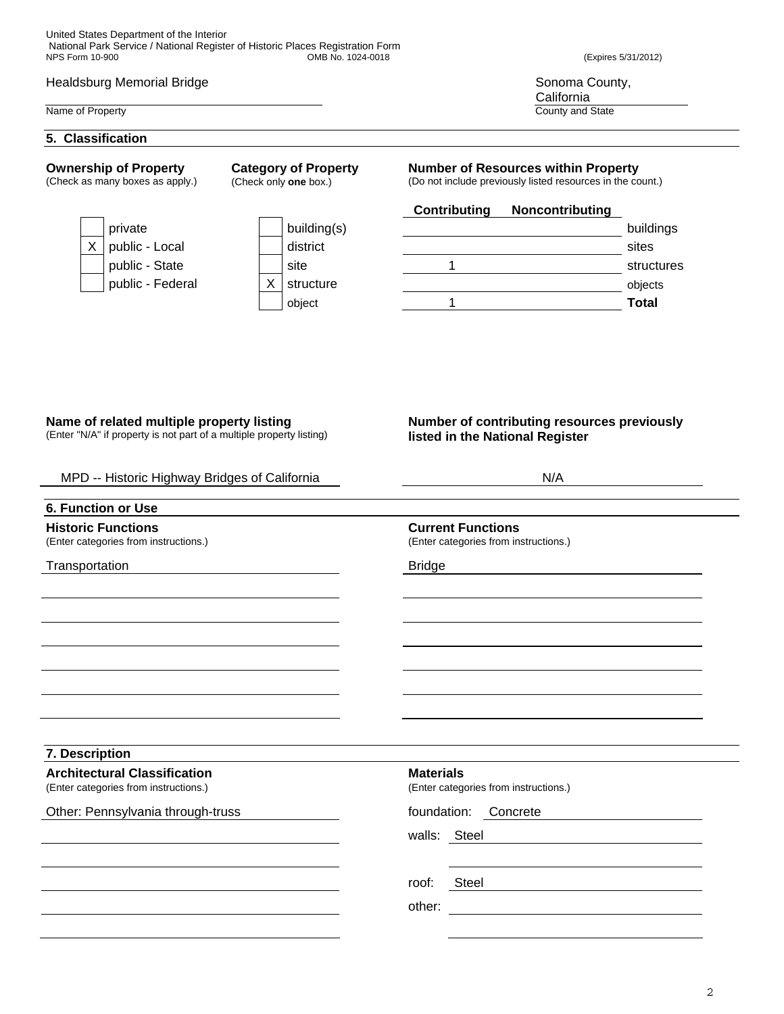# Healdsburg Memorial Bridge **Sonoma County, and Sonoma County, Sonoma County**, Sonoma County,

#### Name of Property County and State County and State County and State County and State County and State County and State County and State County and State County and State County and State County and State County and State C

## **5. Classification**

**Ownership of Property**  (Check as many boxes as apply.) **Category of Property**  (Check only **one** box.)



| building(s |
|------------|
| district   |
| site       |
| structure  |
| object     |

**California** 

# **Number of Resources within Property**

(Do not include previously listed resources in the count.)

# **Contributing Noncontributing**



# **Name of related multiple property listing**

(Enter "N/A" if property is not part of a multiple property listing)

# **Number of contributing resources previously listed in the National Register**

| MPD -- Historic Highway Bridges of California                                | N/A                                                               |  |
|------------------------------------------------------------------------------|-------------------------------------------------------------------|--|
| 6. Function or Use                                                           |                                                                   |  |
| <b>Historic Functions</b><br>(Enter categories from instructions.)           | <b>Current Functions</b><br>(Enter categories from instructions.) |  |
| Transportation                                                               | <b>Bridge</b>                                                     |  |
|                                                                              |                                                                   |  |
|                                                                              |                                                                   |  |
|                                                                              |                                                                   |  |
|                                                                              |                                                                   |  |
| 7. Description                                                               |                                                                   |  |
| <b>Architectural Classification</b><br>(Enter categories from instructions.) | <b>Materials</b><br>(Enter categories from instructions.)         |  |
| Other: Pennsylvania through-truss                                            | foundation:<br>Concrete                                           |  |
|                                                                              | walls: Steel                                                      |  |
|                                                                              | Steel<br>roof:                                                    |  |
|                                                                              | other:                                                            |  |
|                                                                              |                                                                   |  |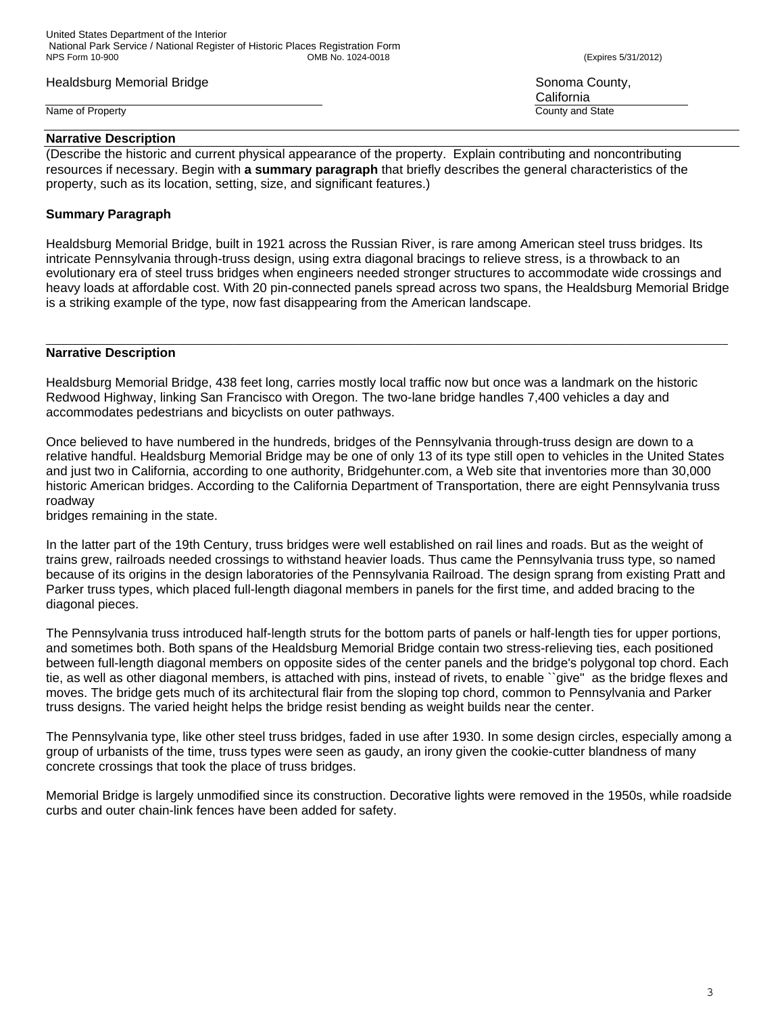# Healdsburg Memorial Bridge Sonoma County, and the Sonoma County, see Sonoma County,

Name of Property County and State County and State County and State County and State County and State County and State County and State County and State County and State County and State County and State County and State C

### **Narrative Description**

(Describe the historic and current physical appearance of the property. Explain contributing and noncontributing resources if necessary. Begin with **a summary paragraph** that briefly describes the general characteristics of the property, such as its location, setting, size, and significant features.)

# **Summary Paragraph**

Healdsburg Memorial Bridge, built in 1921 across the Russian River, is rare among American steel truss bridges. Its intricate Pennsylvania through-truss design, using extra diagonal bracings to relieve stress, is a throwback to an evolutionary era of steel truss bridges when engineers needed stronger structures to accommodate wide crossings and heavy loads at affordable cost. With 20 pin-connected panels spread across two spans, the Healdsburg Memorial Bridge is a striking example of the type, now fast disappearing from the American landscape.

\_\_\_\_\_\_\_\_\_\_\_\_\_\_\_\_\_\_\_\_\_\_\_\_\_\_\_\_\_\_\_\_\_\_\_\_\_\_\_\_\_\_\_\_\_\_\_\_\_\_\_\_\_\_\_\_\_\_\_\_\_\_\_\_\_\_\_\_\_\_\_\_\_\_\_\_\_\_\_\_\_\_\_\_\_\_\_\_\_\_\_\_\_\_\_\_\_\_\_\_\_\_\_\_\_\_\_\_\_\_\_\_\_\_\_\_\_\_\_\_

# **Narrative Description**

Healdsburg Memorial Bridge, 438 feet long, carries mostly local traffic now but once was a landmark on the historic Redwood Highway, linking San Francisco with Oregon. The two-lane bridge handles 7,400 vehicles a day and accommodates pedestrians and bicyclists on outer pathways.

Once believed to have numbered in the hundreds, bridges of the Pennsylvania through-truss design are down to a relative handful. Healdsburg Memorial Bridge may be one of only 13 of its type still open to vehicles in the United States and just two in California, according to one authority, Bridgehunter.com, a Web site that inventories more than 30,000 historic American bridges. According to the California Department of Transportation, there are eight Pennsylvania truss roadway

bridges remaining in the state.

In the latter part of the 19th Century, truss bridges were well established on rail lines and roads. But as the weight of trains grew, railroads needed crossings to withstand heavier loads. Thus came the Pennsylvania truss type, so named because of its origins in the design laboratories of the Pennsylvania Railroad. The design sprang from existing Pratt and Parker truss types, which placed full-length diagonal members in panels for the first time, and added bracing to the diagonal pieces.

The Pennsylvania truss introduced half-length struts for the bottom parts of panels or half-length ties for upper portions, and sometimes both. Both spans of the Healdsburg Memorial Bridge contain two stress-relieving ties, each positioned between full-length diagonal members on opposite sides of the center panels and the bridge's polygonal top chord. Each tie, as well as other diagonal members, is attached with pins, instead of rivets, to enable ``give'' as the bridge flexes and moves. The bridge gets much of its architectural flair from the sloping top chord, common to Pennsylvania and Parker truss designs. The varied height helps the bridge resist bending as weight builds near the center.

The Pennsylvania type, like other steel truss bridges, faded in use after 1930. In some design circles, especially among a group of urbanists of the time, truss types were seen as gaudy, an irony given the cookie-cutter blandness of many concrete crossings that took the place of truss bridges.

Memorial Bridge is largely unmodified since its construction. Decorative lights were removed in the 1950s, while roadside curbs and outer chain-link fences have been added for safety.

**California**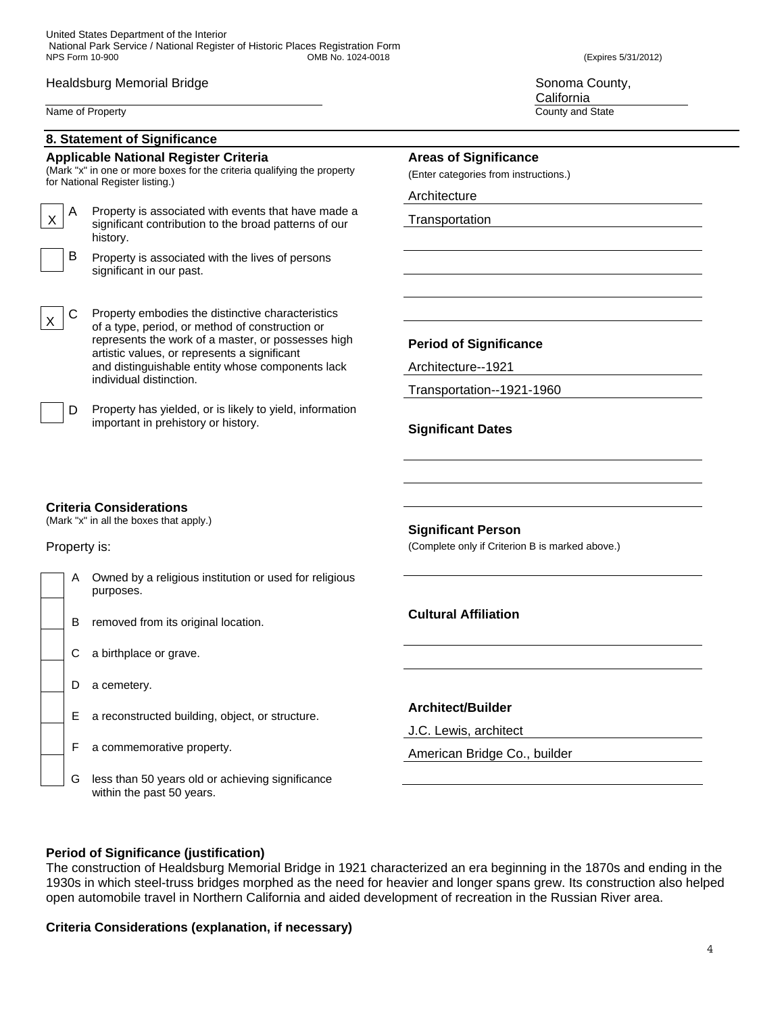## Healdsburg Memorial Bridge **Sonoma County, and Sonoma County, Sonoma County**, Sonoma County,

Name of Property County and State County and State County and State County and State County and State County and State County and State County and State County and State County and State County and State County and State C

**California** 

|              | 8. Statement of Significance                                                                                                                               |                                                                              |
|--------------|------------------------------------------------------------------------------------------------------------------------------------------------------------|------------------------------------------------------------------------------|
|              | <b>Applicable National Register Criteria</b><br>(Mark "x" in one or more boxes for the criteria qualifying the property<br>for National Register listing.) | <b>Areas of Significance</b><br>(Enter categories from instructions.)        |
|              |                                                                                                                                                            | Architecture                                                                 |
| A<br>X       | Property is associated with events that have made a<br>significant contribution to the broad patterns of our<br>history.                                   | Transportation                                                               |
| B            | Property is associated with the lives of persons<br>significant in our past.                                                                               |                                                                              |
| С            | Property embodies the distinctive characteristics<br>of a type, period, or method of construction or                                                       |                                                                              |
|              | represents the work of a master, or possesses high                                                                                                         | <b>Period of Significance</b>                                                |
|              | artistic values, or represents a significant<br>and distinguishable entity whose components lack                                                           | Architecture--1921                                                           |
|              | individual distinction.                                                                                                                                    | Transportation--1921-1960                                                    |
| D            | Property has yielded, or is likely to yield, information<br>important in prehistory or history.                                                            | <b>Significant Dates</b>                                                     |
| Property is: | <b>Criteria Considerations</b><br>(Mark "x" in all the boxes that apply.)                                                                                  | <b>Significant Person</b><br>(Complete only if Criterion B is marked above.) |
| A            | Owned by a religious institution or used for religious<br>purposes.                                                                                        |                                                                              |
| B            | removed from its original location.                                                                                                                        | <b>Cultural Affiliation</b>                                                  |
| С            | a birthplace or grave.                                                                                                                                     |                                                                              |
| D            | a cemetery.                                                                                                                                                |                                                                              |
| Е            | a reconstructed building, object, or structure.                                                                                                            | <b>Architect/Builder</b>                                                     |
|              |                                                                                                                                                            | J.C. Lewis, architect                                                        |
| F            | a commemorative property.                                                                                                                                  | American Bridge Co., builder                                                 |

# **Period of Significance (justification)**

within the past 50 years.

The construction of Healdsburg Memorial Bridge in 1921 characterized an era beginning in the 1870s and ending in the 1930s in which steel-truss bridges morphed as the need for heavier and longer spans grew. Its construction also helped open automobile travel in Northern California and aided development of recreation in the Russian River area.

# **Criteria Considerations (explanation, if necessary)**

G less than 50 years old or achieving significance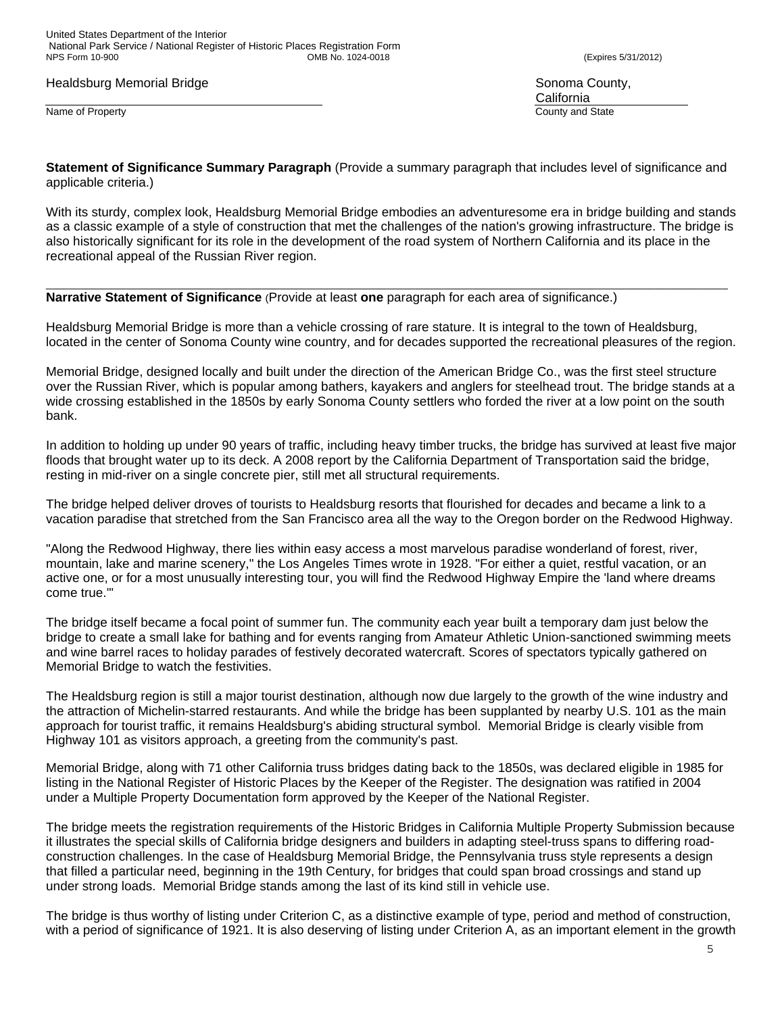United States Department of the Interior National Park Service / National Register of Historic Places Registration Form OMB No. 1024-0018 (Expires 5/31/2012)

Healdsburg Memorial Bridge Sonoma County, and the Sonoma County, see Sonoma County,

Name of Property County and State County and State County and State County and State County and State County and State County and State County and State County and State County and State County and State County and State C

**California** 

**Statement of Significance Summary Paragraph** (Provide a summary paragraph that includes level of significance and applicable criteria.)

With its sturdy, complex look, Healdsburg Memorial Bridge embodies an adventuresome era in bridge building and stands as a classic example of a style of construction that met the challenges of the nation's growing infrastructure. The bridge is also historically significant for its role in the development of the road system of Northern California and its place in the recreational appeal of the Russian River region.

**Narrative Statement of Significance** (Provide at least **one** paragraph for each area of significance.)

Healdsburg Memorial Bridge is more than a vehicle crossing of rare stature. It is integral to the town of Healdsburg, located in the center of Sonoma County wine country, and for decades supported the recreational pleasures of the region.

\_\_\_\_\_\_\_\_\_\_\_\_\_\_\_\_\_\_\_\_\_\_\_\_\_\_\_\_\_\_\_\_\_\_\_\_\_\_\_\_\_\_\_\_\_\_\_\_\_\_\_\_\_\_\_\_\_\_\_\_\_\_\_\_\_\_\_\_\_\_\_\_\_\_\_\_\_\_\_\_\_\_\_\_\_\_\_\_\_\_\_\_\_\_\_\_\_\_\_\_\_\_\_\_\_\_\_\_\_\_\_\_\_\_\_\_\_\_\_\_

Memorial Bridge, designed locally and built under the direction of the American Bridge Co., was the first steel structure over the Russian River, which is popular among bathers, kayakers and anglers for steelhead trout. The bridge stands at a wide crossing established in the 1850s by early Sonoma County settlers who forded the river at a low point on the south bank.

In addition to holding up under 90 years of traffic, including heavy timber trucks, the bridge has survived at least five major floods that brought water up to its deck. A 2008 report by the California Department of Transportation said the bridge, resting in mid-river on a single concrete pier, still met all structural requirements.

The bridge helped deliver droves of tourists to Healdsburg resorts that flourished for decades and became a link to a vacation paradise that stretched from the San Francisco area all the way to the Oregon border on the Redwood Highway.

"Along the Redwood Highway, there lies within easy access a most marvelous paradise wonderland of forest, river, mountain, lake and marine scenery," the Los Angeles Times wrote in 1928. "For either a quiet, restful vacation, or an active one, or for a most unusually interesting tour, you will find the Redwood Highway Empire the 'land where dreams come true.'"

The bridge itself became a focal point of summer fun. The community each year built a temporary dam just below the bridge to create a small lake for bathing and for events ranging from Amateur Athletic Union-sanctioned swimming meets and wine barrel races to holiday parades of festively decorated watercraft. Scores of spectators typically gathered on Memorial Bridge to watch the festivities.

The Healdsburg region is still a major tourist destination, although now due largely to the growth of the wine industry and the attraction of Michelin-starred restaurants. And while the bridge has been supplanted by nearby U.S. 101 as the main approach for tourist traffic, it remains Healdsburg's abiding structural symbol. Memorial Bridge is clearly visible from Highway 101 as visitors approach, a greeting from the community's past.

Memorial Bridge, along with 71 other California truss bridges dating back to the 1850s, was declared eligible in 1985 for listing in the National Register of Historic Places by the Keeper of the Register. The designation was ratified in 2004 under a Multiple Property Documentation form approved by the Keeper of the National Register.

The bridge meets the registration requirements of the Historic Bridges in California Multiple Property Submission because it illustrates the special skills of California bridge designers and builders in adapting steel-truss spans to differing roadconstruction challenges. In the case of Healdsburg Memorial Bridge, the Pennsylvania truss style represents a design that filled a particular need, beginning in the 19th Century, for bridges that could span broad crossings and stand up under strong loads. Memorial Bridge stands among the last of its kind still in vehicle use.

The bridge is thus worthy of listing under Criterion C, as a distinctive example of type, period and method of construction, with a period of significance of 1921. It is also deserving of listing under Criterion A, as an important element in the growth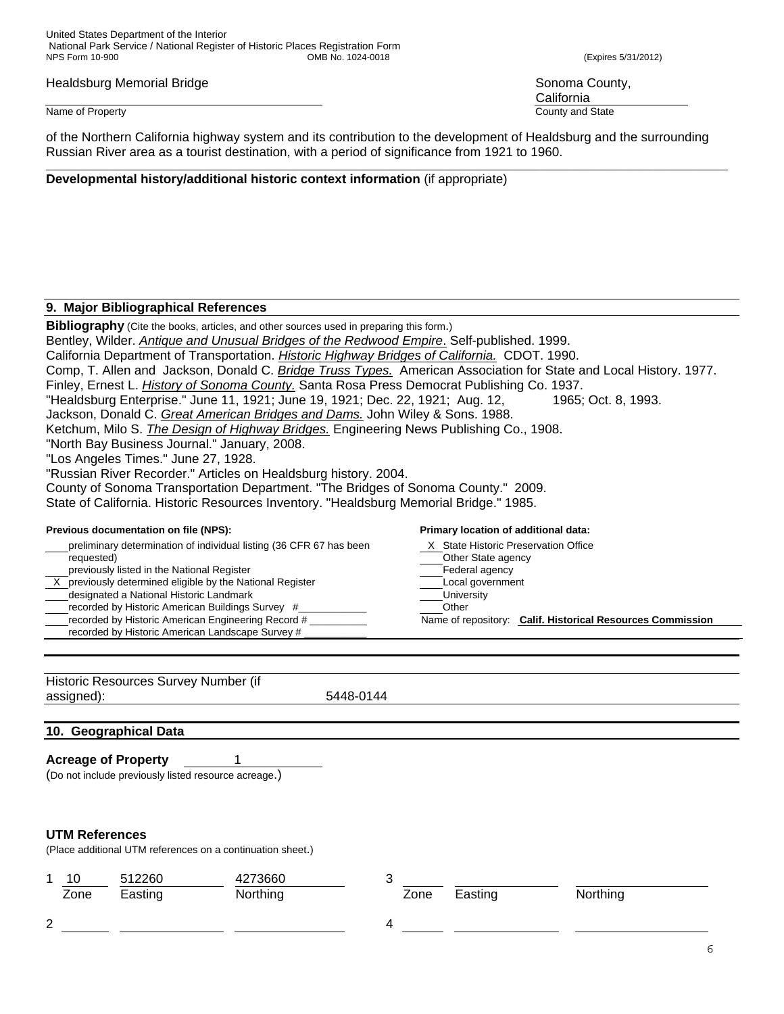United States Department of the Interior National Park Service / National Register of Historic Places Registration Form

Healdsburg Memorial Bridge Sonoma County, and the Sonoma County, such a set of the Sonoma County, such a set of the Sonoma County, such a set of the Sonoma County, such a set of the Sonoma County, such a set of the Sonoma

### Name of Property County and State County and State County and State County and State County and State County and State County and State County and State County and State County and State County and State County and State C

of the Northern California highway system and its contribution to the development of Healdsburg and the surrounding Russian River area as a tourist destination, with a period of significance from 1921 to 1960.

# **Developmental history/additional historic context information** (if appropriate)

## **9. Major Bibliographical References**

**Bibliography** (Cite the books, articles, and other sources used in preparing this form.)

Bentley, Wilder. *Antique and Unusual Bridges of the Redwood Empire*. Self-published. 1999. California Department of Transportation. *Historic Highway Bridges of California.* CDOT. 1990.

- Comp, T. Allen and Jackson, Donald C. *Bridge Truss Types.* American Association for State and Local History. 1977.
- Finley, Ernest L. *History of Sonoma County.* Santa Rosa Press Democrat Publishing Co. 1937.

"Healdsburg Enterprise." June 11, 1921; June 19, 1921; Dec. 22, 1921; Aug. 12, 1965; Oct. 8, 1993.

Jackson, Donald C. *Great American Bridges and Dams.* John Wiley & Sons. 1988.

Ketchum, Milo S. *The Design of Highway Bridges.* Engineering News Publishing Co., 1908.

"North Bay Business Journal." January, 2008.

"Los Angeles Times." June 27, 1928.

"Russian River Recorder." Articles on Healdsburg history. 2004.

County of Sonoma Transportation Department. "The Bridges of Sonoma County." 2009.

State of California. Historic Resources Inventory. "Healdsburg Memorial Bridge." 1985.

### **Previous documentation on file (NPS): Primary location of additional data:**

preliminary determination of individual listing (36 CFR 67 has been X State Historic Preservation Office requested) and the contract of the contract of the contract of the Contract of the Contract of the Contract of the Contract of the Contract of the Contract of the Contract of the Contract of the Contract of the Contract of previously listed in the National Register Federal agency  $\overline{X}$  previously determined eligible by the National Register  $\overline{X}$  Local government designated a National Historic Landmark **National State and Accord Provident** University recorded by Historic American Buildings Survey #\_\_\_\_\_\_\_\_\_\_\_\_ Other recorded by Historic American Engineering Record # \_\_\_\_\_\_\_\_\_\_ Name of repository: **Calif. Historical Resources Commission**  recorded by Historic American Landscape Survey # \_\_\_\_\_\_\_\_\_\_\_

| Historic Resources Survey Number (if |           |
|--------------------------------------|-----------|
| assigned):                           | 5448-0144 |

# **10. Geographical Data**

# **Acreage of Property** 1

(Do not include previously listed resource acreage.)

# **UTM References**

(Place additional UTM references on a continuation sheet.)

| 10     | 512260  | 4273660  |      |         |          |  |
|--------|---------|----------|------|---------|----------|--|
| Zone   | Easting | Northing | Zone | Easting | Northing |  |
| ົ<br>∼ |         |          |      |         |          |  |

**California**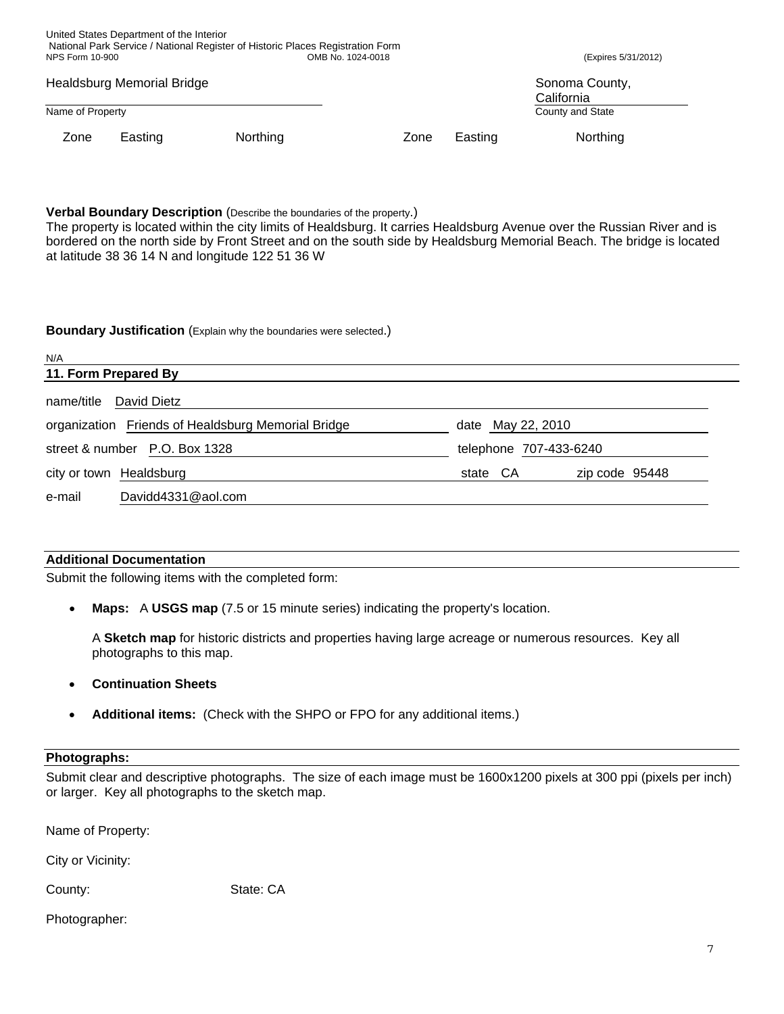| NPS Form 10-900            |         |          | National Park Service / National Register of Historic Places Registration Form<br>OMB No. 1024-0018 |         | (Expires 5/31/2012)          |
|----------------------------|---------|----------|-----------------------------------------------------------------------------------------------------|---------|------------------------------|
| Healdsburg Memorial Bridge |         |          |                                                                                                     |         | Sonoma County,<br>California |
| Name of Property           |         |          |                                                                                                     |         | County and State             |
| Zone                       | Easting | Northing | Zone                                                                                                | Easting | Northing                     |

**Verbal Boundary Description** (Describe the boundaries of the property.)

The property is located within the city limits of Healdsburg. It carries Healdsburg Avenue over the Russian River and is bordered on the north side by Front Street and on the south side by Healdsburg Memorial Beach. The bridge is located at latitude 38 36 14 N and longitude 122 51 36 W

## **Boundary Justification** (Explain why the boundaries were selected.)

| N/A                                                |                            |  |
|----------------------------------------------------|----------------------------|--|
| 11. Form Prepared By                               |                            |  |
| David Dietz<br>name/title                          |                            |  |
| organization Friends of Healdsburg Memorial Bridge | date May 22, 2010          |  |
| street & number P.O. Box 1328                      | telephone 707-433-6240     |  |
| city or town Healdsburg                            | state CA<br>zip code 95448 |  |
| Davidd4331@aol.com<br>e-mail                       |                            |  |

# **Additional Documentation**

United States Department of the Interior

Submit the following items with the completed form:

• **Maps:** A **USGS map** (7.5 or 15 minute series) indicating the property's location.

A **Sketch map** for historic districts and properties having large acreage or numerous resources. Key all photographs to this map.

- **Continuation Sheets**
- **Additional items:** (Check with the SHPO or FPO for any additional items.)

# **Photographs:**

Submit clear and descriptive photographs. The size of each image must be 1600x1200 pixels at 300 ppi (pixels per inch) or larger. Key all photographs to the sketch map.

Name of Property:

City or Vicinity:

County: State: CA

# Photographer: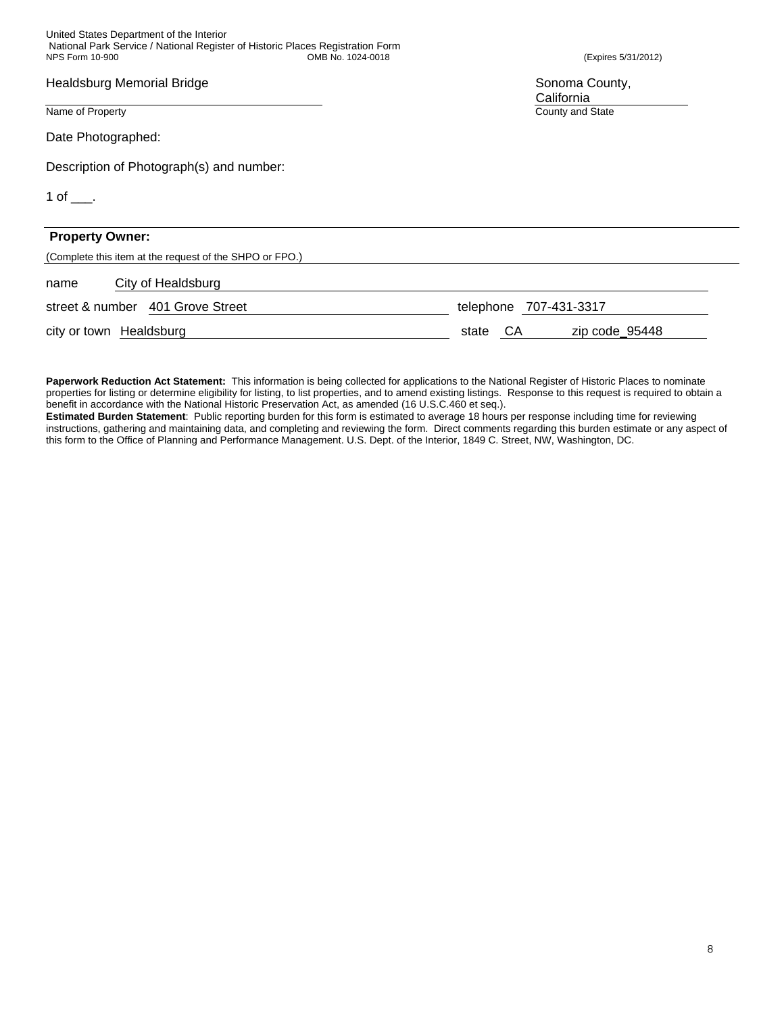United States Department of the Interior National Park Service / National Register of Historic Places Registration Form OMB No. 1024-0018 (Expires 5/31/2012)

Healdsburg Memorial Bridge **Sonoma County, and Sonoma County, Sonoma County**, Sonoma County,

Name of Property County and State County and State County and State County and State County and State County and State County and State County and State County and State County and State County and State County and State C

Date Photographed:

Description of Photograph(s) and number:

1 of  $\_\_$ .

| <b>Property Owner:</b>                                  |                               |
|---------------------------------------------------------|-------------------------------|
| (Complete this item at the request of the SHPO or FPO.) |                               |
| City of Healdsburg<br>name                              |                               |
| street & number 401 Grove Street                        | telephone 707-431-3317        |
| city or town Healdsburg                                 | zip code_95448<br>СA<br>state |

**Paperwork Reduction Act Statement:** This information is being collected for applications to the National Register of Historic Places to nominate properties for listing or determine eligibility for listing, to list properties, and to amend existing listings. Response to this request is required to obtain a benefit in accordance with the National Historic Preservation Act, as amended (16 U.S.C.460 et seq.).

**Estimated Burden Statement**: Public reporting burden for this form is estimated to average 18 hours per response including time for reviewing instructions, gathering and maintaining data, and completing and reviewing the form. Direct comments regarding this burden estimate or any aspect of this form to the Office of Planning and Performance Management. U.S. Dept. of the Interior, 1849 C. Street, NW, Washington, DC.

**California**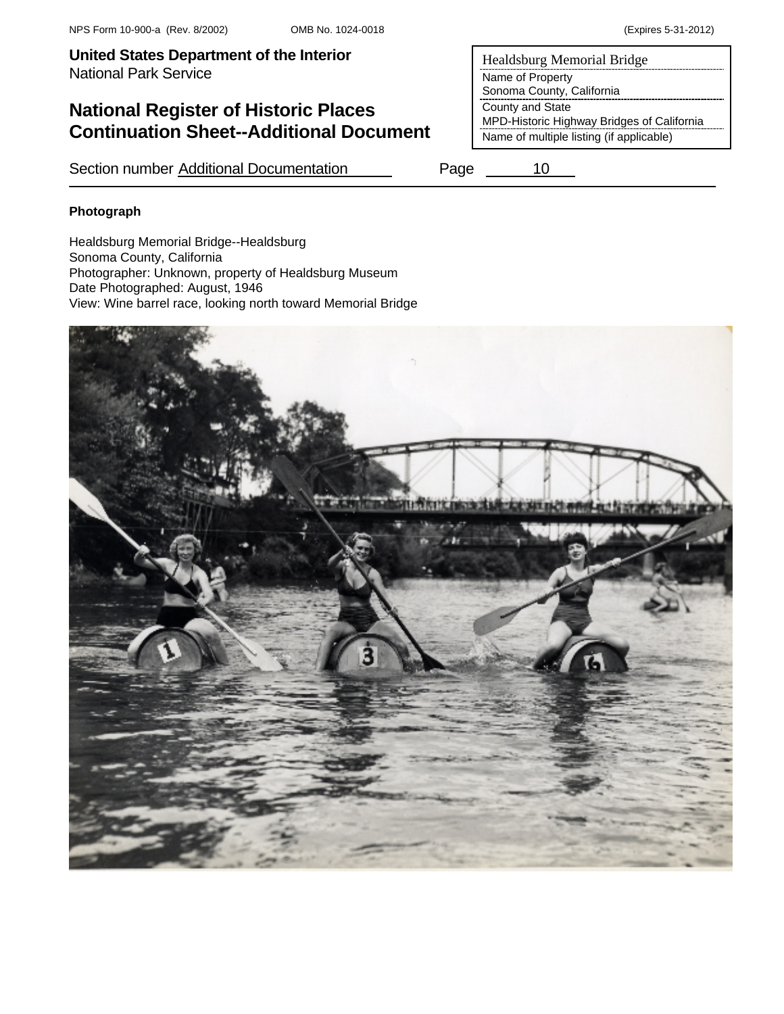# **National Register of Historic Places Continuation Sheet--Additional Document**

Section number Additional Documentation Page 10

**Photograph** 

Healdsburg Memorial Bridge--Healdsburg Sonoma County, California Photographer: Unknown, property of Healdsburg Museum Date Photographed: August, 1946 View: Wine barrel race, looking north toward Memorial Bridge

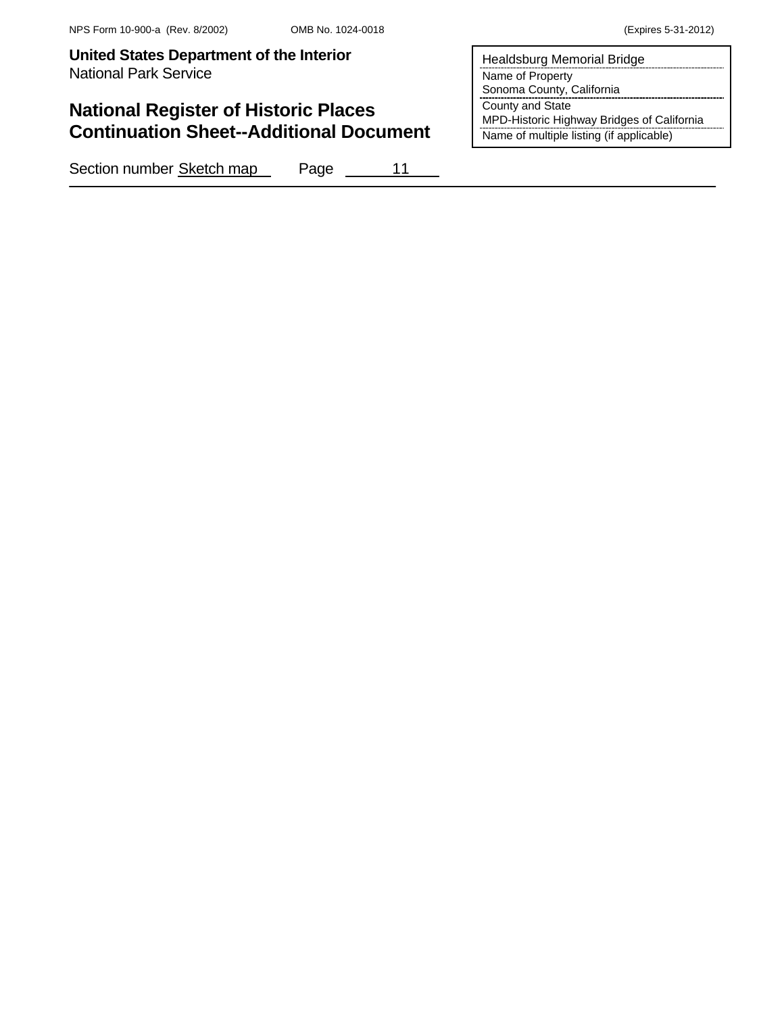# **National Register of Historic Places Continuation Sheet--Additional Document**

Section number Sketch map Page 11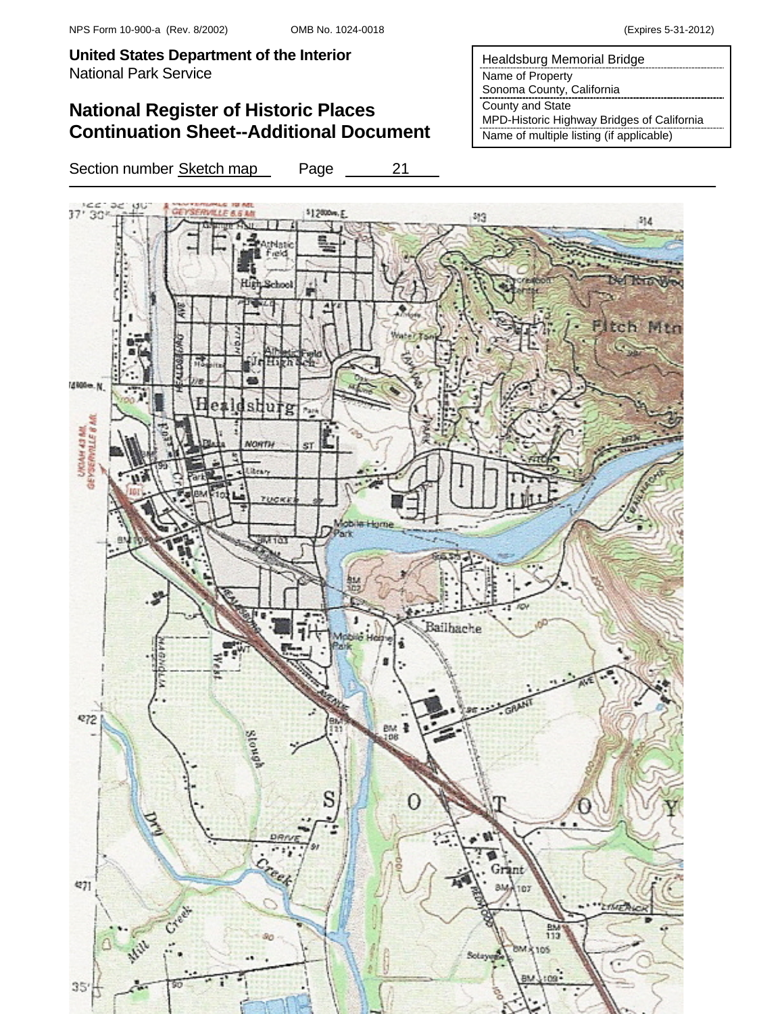# **National Register of Historic Places Continuation Sheet--Additional Document**

Section number Sketch map Page 21